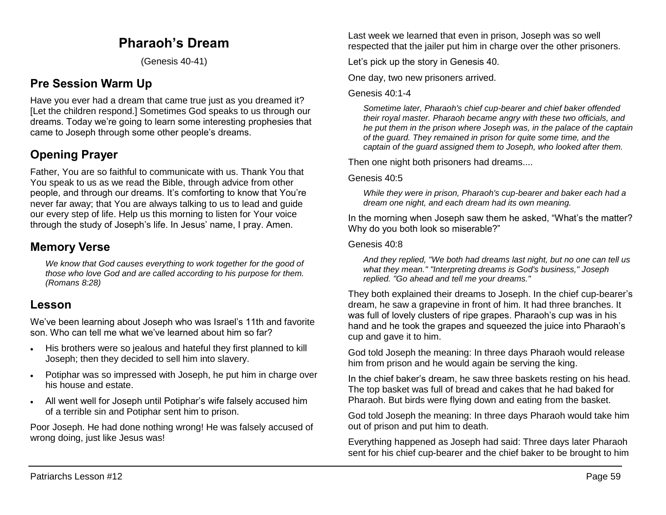# **Pharaoh's Dream**

(Genesis 40-41)

# **Pre Session Warm Up**

Have you ever had a dream that came true just as you dreamed it? [Let the children respond.] Sometimes God speaks to us through our dreams. Today we're going to learn some interesting prophesies that came to Joseph through some other people's dreams.

# **Opening Prayer**

Father, You are so faithful to communicate with us. Thank You that You speak to us as we read the Bible, through advice from other people, and through our dreams. It's comforting to know that You're never far away; that You are always talking to us to lead and guide our every step of life. Help us this morning to listen for Your voice through the study of Joseph's life. In Jesus' name, I pray. Amen.

# **Memory Verse**

*We know that God causes everything to work together for the good of those who love God and are called according to his purpose for them. (Romans 8:28)*

# **Lesson**

We've been learning about Joseph who was Israel's 11th and favorite son. Who can tell me what we've learned about him so far?

- His brothers were so jealous and hateful they first planned to kill Joseph; then they decided to sell him into slavery.
- Potiphar was so impressed with Joseph, he put him in charge over his house and estate.
- All went well for Joseph until Potiphar's wife falsely accused him of a terrible sin and Potiphar sent him to prison.

Poor Joseph. He had done nothing wrong! He was falsely accused of wrong doing, just like Jesus was!

Last week we learned that even in prison, Joseph was so well respected that the jailer put him in charge over the other prisoners.

Let's pick up the story in Genesis 40.

One day, two new prisoners arrived.

### Genesis 40:1-4

*Sometime later, Pharaoh's chief cup-bearer and chief baker offended their royal master. Pharaoh became angry with these two officials, and he put them in the prison where Joseph was, in the palace of the captain of the guard. They remained in prison for quite some time, and the captain of the guard assigned them to Joseph, who looked after them.*

Then one night both prisoners had dreams....

### Genesis 40:5

*While they were in prison, Pharaoh's cup-bearer and baker each had a dream one night, and each dream had its own meaning.* 

In the morning when Joseph saw them he asked, "What's the matter? Why do you both look so miserable?"

### Genesis 40:8

*And they replied, "We both had dreams last night, but no one can tell us what they mean." "Interpreting dreams is God's business," Joseph replied. "Go ahead and tell me your dreams."*

They both explained their dreams to Joseph. In the chief cup-bearer's dream, he saw a grapevine in front of him. It had three branches. It was full of lovely clusters of ripe grapes. Pharaoh's cup was in his hand and he took the grapes and squeezed the juice into Pharaoh's cup and gave it to him.

God told Joseph the meaning: In three days Pharaoh would release him from prison and he would again be serving the king.

In the chief baker's dream, he saw three baskets resting on his head. The top basket was full of bread and cakes that he had baked for Pharaoh. But birds were flying down and eating from the basket.

God told Joseph the meaning: In three days Pharaoh would take him out of prison and put him to death.

Everything happened as Joseph had said: Three days later Pharaoh sent for his chief cup-bearer and the chief baker to be brought to him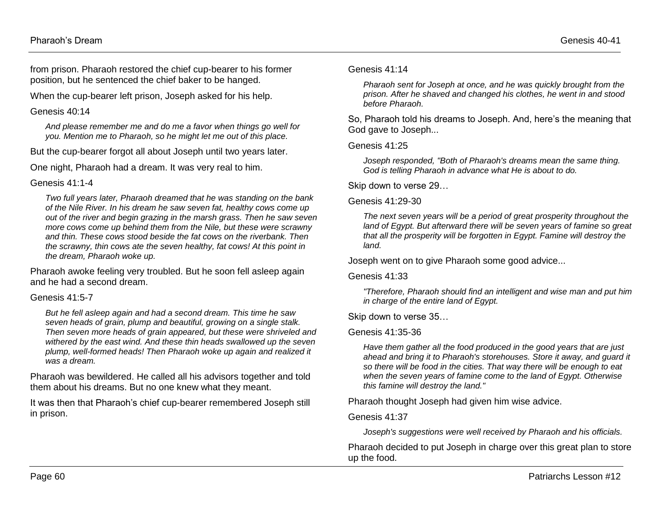from prison. Pharaoh restored the chief cup-bearer to his former position, but he sentenced the chief baker to be hanged.

When the cup-bearer left prison, Joseph asked for his help.

#### Genesis 40:14

*And please remember me and do me a favor when things go well for you. Mention me to Pharaoh, so he might let me out of this place.*

But the cup-bearer forgot all about Joseph until two years later.

One night, Pharaoh had a dream. It was very real to him.

### Genesis 41:1-4

*Two full years later, Pharaoh dreamed that he was standing on the bank of the Nile River. In his dream he saw seven fat, healthy cows come up out of the river and begin grazing in the marsh grass. Then he saw seven more cows come up behind them from the Nile, but these were scrawny and thin. These cows stood beside the fat cows on the riverbank. Then the scrawny, thin cows ate the seven healthy, fat cows! At this point in the dream, Pharaoh woke up.*

Pharaoh awoke feeling very troubled. But he soon fell asleep again and he had a second dream.

## Genesis 41:5-7

*But he fell asleep again and had a second dream. This time he saw seven heads of grain, plump and beautiful, growing on a single stalk. Then seven more heads of grain appeared, but these were shriveled and withered by the east wind. And these thin heads swallowed up the seven plump, well-formed heads! Then Pharaoh woke up again and realized it was a dream.* 

Pharaoh was bewildered. He called all his advisors together and told them about his dreams. But no one knew what they meant.

It was then that Pharaoh's chief cup-bearer remembered Joseph still in prison.

#### Genesis 41:14

*Pharaoh sent for Joseph at once, and he was quickly brought from the prison. After he shaved and changed his clothes, he went in and stood before Pharaoh.* 

So, Pharaoh told his dreams to Joseph. And, here's the meaning that God gave to Joseph...

Genesis 41:25

*Joseph responded, "Both of Pharaoh's dreams mean the same thing. God is telling Pharaoh in advance what He is about to do.*

Skip down to verse 29…

### Genesis 41:29-30

*The next seven years will be a period of great prosperity throughout the land of Egypt. But afterward there will be seven years of famine so great that all the prosperity will be forgotten in Egypt. Famine will destroy the land.* 

Joseph went on to give Pharaoh some good advice...

Genesis 41:33

*"Therefore, Pharaoh should find an intelligent and wise man and put him in charge of the entire land of Egypt.*

Skip down to verse 35…

## Genesis 41:35-36

*Have them gather all the food produced in the good years that are just ahead and bring it to Pharaoh's storehouses. Store it away, and guard it so there will be food in the cities. That way there will be enough to eat when the seven years of famine come to the land of Egypt. Otherwise this famine will destroy the land."* 

Pharaoh thought Joseph had given him wise advice.

## Genesis 41:37

*Joseph's suggestions were well received by Pharaoh and his officials.*

Pharaoh decided to put Joseph in charge over this great plan to store up the food.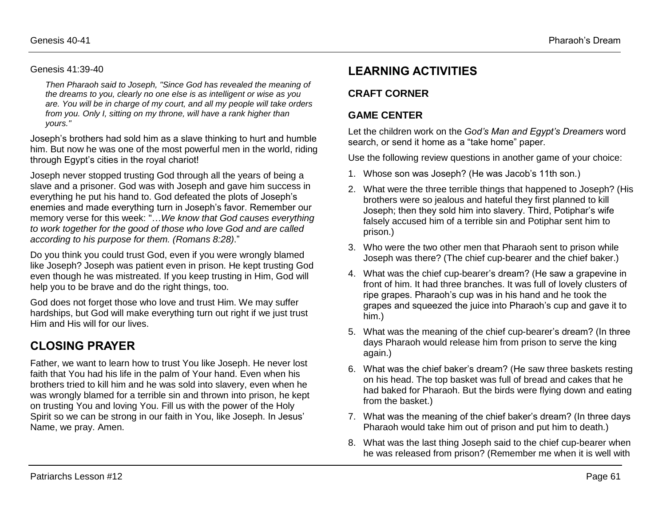### Genesis 41:39-40

*Then Pharaoh said to Joseph, "Since God has revealed the meaning of the dreams to you, clearly no one else is as intelligent or wise as you are. You will be in charge of my court, and all my people will take orders from you. Only I, sitting on my throne, will have a rank higher than yours."* 

Joseph's brothers had sold him as a slave thinking to hurt and humble him. But now he was one of the most powerful men in the world, riding through Egypt's cities in the royal chariot!

Joseph never stopped trusting God through all the years of being a slave and a prisoner. God was with Joseph and gave him success in everything he put his hand to. God defeated the plots of Joseph's enemies and made everything turn in Joseph's favor. Remember our memory verse for this week: "…*We know that God causes everything to work together for the good of those who love God and are called according to his purpose for them. (Romans 8:28)*."

Do you think you could trust God, even if you were wrongly blamed like Joseph? Joseph was patient even in prison. He kept trusting God even though he was mistreated. If you keep trusting in Him, God will help you to be brave and do the right things, too.

God does not forget those who love and trust Him. We may suffer hardships, but God will make everything turn out right if we just trust Him and His will for our lives.

# **CLOSING PRAYER**

Father, we want to learn how to trust You like Joseph. He never lost faith that You had his life in the palm of Your hand. Even when his brothers tried to kill him and he was sold into slavery, even when he was wrongly blamed for a terrible sin and thrown into prison, he kept on trusting You and loving You. Fill us with the power of the Holy Spirit so we can be strong in our faith in You, like Joseph. In Jesus' Name, we pray. Amen.

# **LEARNING ACTIVITIES**

## **CRAFT CORNER**

## **GAME CENTER**

Let the children work on the *God's Man and Egypt's Dreamers* word search, or send it home as a "take home" paper.

Use the following review questions in another game of your choice:

- 1. Whose son was Joseph? (He was Jacob's 11th son.)
- 2. What were the three terrible things that happened to Joseph? (His brothers were so jealous and hateful they first planned to kill Joseph; then they sold him into slavery. Third, Potiphar's wife falsely accused him of a terrible sin and Potiphar sent him to prison.)
- 3. Who were the two other men that Pharaoh sent to prison while Joseph was there? (The chief cup-bearer and the chief baker.)
- 4. What was the chief cup-bearer's dream? (He saw a grapevine in front of him. It had three branches. It was full of lovely clusters of ripe grapes. Pharaoh's cup was in his hand and he took the grapes and squeezed the juice into Pharaoh's cup and gave it to him.)
- 5. What was the meaning of the chief cup-bearer's dream? (In three days Pharaoh would release him from prison to serve the king again.)
- 6. What was the chief baker's dream? (He saw three baskets resting on his head. The top basket was full of bread and cakes that he had baked for Pharaoh. But the birds were flying down and eating from the basket.)
- 7. What was the meaning of the chief baker's dream? (In three days Pharaoh would take him out of prison and put him to death.)
- 8. What was the last thing Joseph said to the chief cup-bearer when he was released from prison? (Remember me when it is well with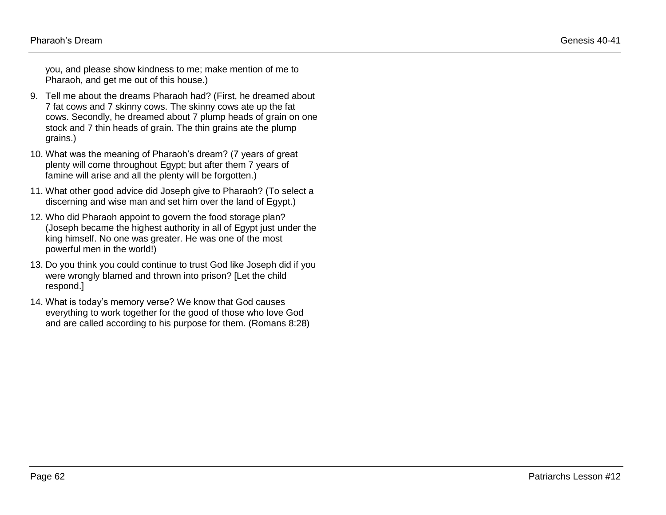you, and please show kindness to me; make mention of me to Pharaoh, and get me out of this house.)

- 9. Tell me about the dreams Pharaoh had? (First, he dreamed about 7 fat cows and 7 skinny cows. The skinny cows ate up the fat cows. Secondly, he dreamed about 7 plump heads of grain on one stock and 7 thin heads of grain. The thin grains ate the plump grains.)
- 10. What was the meaning of Pharaoh's dream? (7 years of great plenty will come throughout Egypt; but after them 7 years of famine will arise and all the plenty will be forgotten.)
- 11. What other good advice did Joseph give to Pharaoh? (To select a discerning and wise man and set him over the land of Egypt.)
- 12. Who did Pharaoh appoint to govern the food storage plan? (Joseph became the highest authority in all of Egypt just under the king himself. No one was greater. He was one of the most powerful men in the world!)
- 13. Do you think you could continue to trust God like Joseph did if you were wrongly blamed and thrown into prison? [Let the child respond.]
- 14. What is today's memory verse? We know that God causes everything to work together for the good of those who love God and are called according to his purpose for them. (Romans 8:28)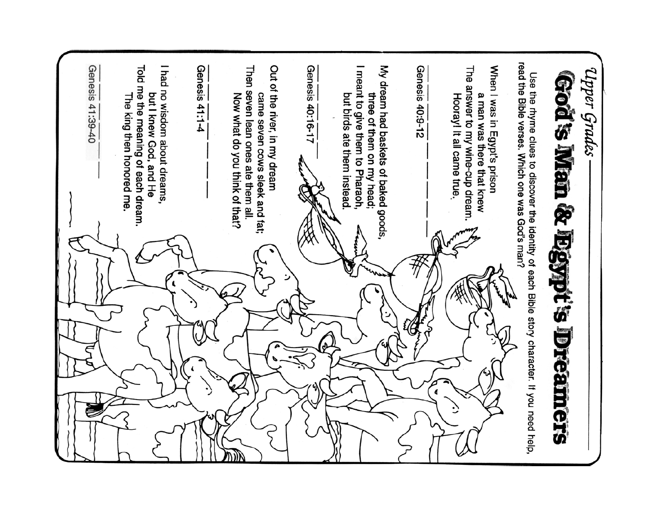